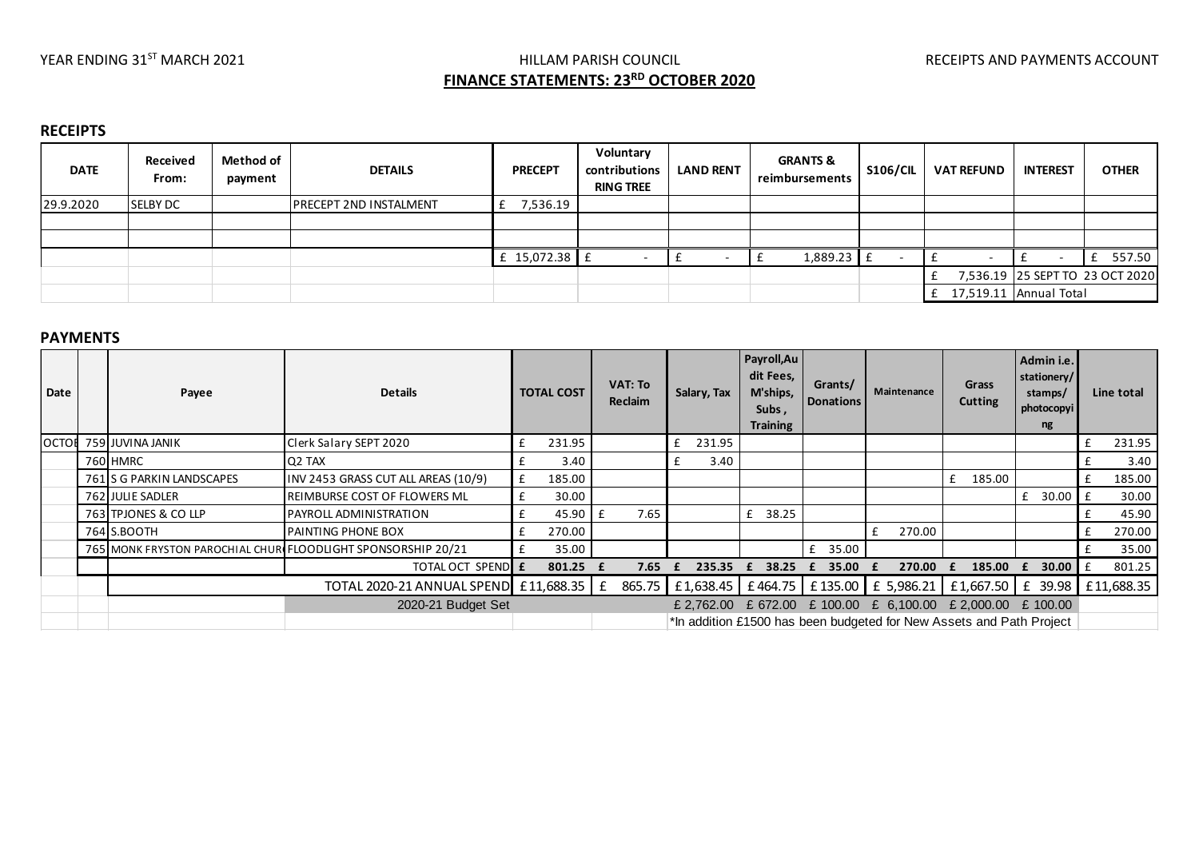# YEAR ENDING 31<sup>ST</sup> MARCH 2021 **Example 2021** HILLAM PARISH COUNCIL **The COUNCIL RECEIPTS AND PAYMENTS ACCOUNT FINANCE STATEMENTS: 23RD OCTOBER 2020**

### **RECEIPTS**

| <b>DATE</b> | Received<br>From: | Method of<br>payment | <b>DETAILS</b>                | <b>PRECEPT</b>  | Voluntary<br>contributions<br><b>RING TREE</b> | <b>LAND RENT</b> | <b>GRANTS &amp;</b><br>reimbursements | <b>S106/CIL</b> | <b>VAT REFUND</b>        | <b>INTEREST</b>        | <b>OTHER</b>                    |
|-------------|-------------------|----------------------|-------------------------------|-----------------|------------------------------------------------|------------------|---------------------------------------|-----------------|--------------------------|------------------------|---------------------------------|
| 29.9.2020   | <b>SELBY DC</b>   |                      | <b>PRECEPT 2ND INSTALMENT</b> | 7,536.19        |                                                |                  |                                       |                 |                          |                        |                                 |
|             |                   |                      |                               |                 |                                                |                  |                                       |                 |                          |                        |                                 |
|             |                   |                      |                               |                 |                                                |                  |                                       |                 |                          |                        |                                 |
|             |                   |                      |                               | £ 15,072.38 $E$ |                                                |                  | 1,889.23 £                            |                 | $\overline{\phantom{0}}$ |                        | 557.50                          |
|             |                   |                      |                               |                 |                                                |                  |                                       |                 |                          |                        | 7,536.19 25 SEPT TO 23 OCT 2020 |
|             |                   |                      |                               |                 |                                                |                  |                                       |                 |                          | 17,519.11 Annual Total |                                 |

#### **PAYMENTS**

| Date         | Payee                     | <b>Details</b>                                               |   | <b>TOTAL COST</b>  | VAT: To<br>Reclaim |   | Salary, Tax | Payroll,Au<br>dit Fees,<br>M'ships,<br>Subs,<br><b>Training</b> | Grants/<br><b>Donations</b> | Maintenance | Grass<br><b>Cutting</b>                                                                | Admin i.e.<br>stationery/<br>stamps/<br>photocopyi<br>ng |   | Line total |
|--------------|---------------------------|--------------------------------------------------------------|---|--------------------|--------------------|---|-------------|-----------------------------------------------------------------|-----------------------------|-------------|----------------------------------------------------------------------------------------|----------------------------------------------------------|---|------------|
| <b>OCTOR</b> | 759 JUVINA JANIK          | Clerk Salary SEPT 2020                                       |   | 231.95             |                    | £ | 231.95      |                                                                 |                             |             |                                                                                        |                                                          |   | 231.95     |
|              | 760 HMRC                  | Q <sub>2</sub> TAX                                           |   | 3.40               |                    |   | 3.40        |                                                                 |                             |             |                                                                                        |                                                          |   | 3.40       |
|              | 761 S G PARKIN LANDSCAPES | INV 2453 GRASS CUT ALL AREAS (10/9)                          | £ | 185.00             |                    |   |             |                                                                 |                             |             | 185.00<br>f                                                                            |                                                          | £ | 185.00     |
|              | 762 JULIE SADLER          | <b>REIMBURSE COST OF FLOWERS ML</b>                          |   | 30.00              |                    |   |             |                                                                 |                             |             |                                                                                        | 30.00<br>£                                               |   | 30.00      |
|              | 763 TPJONES & CO LLP      | <b>PAYROLL ADMINISTRATION</b>                                |   | $45.90 \text{ }$ £ | 7.65               |   |             | 38.25<br>£                                                      |                             |             |                                                                                        |                                                          |   | 45.90      |
|              | 764 S.BOOTH               | <b>PAINTING PHONE BOX</b>                                    |   | 270.00             |                    |   |             |                                                                 |                             | 270.00<br>f |                                                                                        |                                                          |   | 270.00     |
|              |                           | 765 MONK FRYSTON PAROCHIAL CHURIFLOODLIGHT SPONSORSHIP 20/21 |   | 35.00              |                    |   |             |                                                                 | f<br>35.00                  |             |                                                                                        |                                                          |   | 35.00      |
|              |                           | TOTAL OCT SPENDE                                             |   | $801.25$ f         | 7.65               |   | 235.35      | 38.25<br>£                                                      | 35.00<br>£                  | 270.00      | 185.00                                                                                 | 30.00<br>$\mathbf{t}$                                    |   | 801.25     |
|              |                           | TOTAL 2020-21 ANNUAL SPEND £11,688.35   £                    |   |                    |                    |   |             |                                                                 |                             |             | 865.75   £1,638.45   £464.75   £135.00   £ 5,986.21   £1,667.50   £ 39.98   £11,688.35 |                                                          |   |            |
|              |                           | 2020-21 Budget Set                                           |   |                    |                    |   |             |                                                                 |                             |             | £ 2,762.00 £ 672.00 £ 100.00 £ 6,100.00 £ 2,000.00 £ 100.00                            |                                                          |   |            |
|              |                           |                                                              |   |                    |                    |   |             |                                                                 |                             |             | *In addition £1500 has been budgeted for New Assets and Path Project                   |                                                          |   |            |